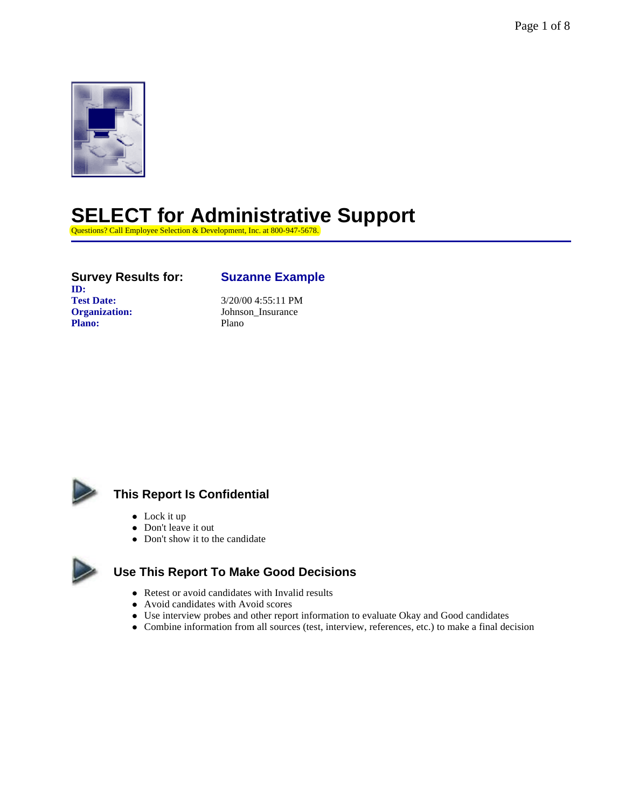

### **SELECT for Administrative Support**

Questions? Call Employee Selection & Development, Inc. at 800-947-5678.

#### **Survey Results for: Suzanne Example ID: Test Date:** 3/20/00 4:55:11 PM **Organization:** Johnson\_Insurance Plano: Plano



### **This Report Is Confidential**

- $\bullet$  Lock it up
- Don't leave it out
- Don't show it to the candidate

### **Use This Report To Make Good Decisions**

- Retest or avoid candidates with Invalid results
- Avoid candidates with Avoid scores
- Use interview probes and other report information to evaluate Okay and Good candidates
- Combine information from all sources (test, interview, references, etc.) to make a final decision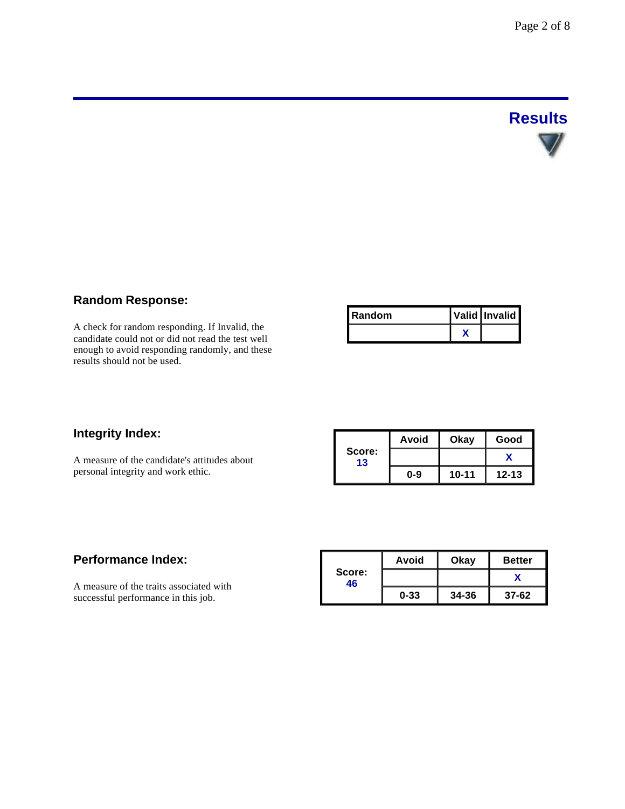# **Results**

### **Random Response:**

A check for random responding. If Invalid, the candidate could not or did not read the test well enough to avoid responding randomly, and these results should not be used.

| I Random | Valid Invalid |
|----------|---------------|
|          |               |

### **Integrity Index:**

A measure of the candidate's attitudes about personal integrity and work ethic.

|              | Avoid   |           | Good      |  |
|--------------|---------|-----------|-----------|--|
| Score:<br>13 |         |           |           |  |
|              | $0 - 9$ | $10 - 11$ | $12 - 13$ |  |

### **Performance Index:**

A measure of the traits associated with successful performance in this job.

|              | Avoid    | Okay      | <b>Better</b> |
|--------------|----------|-----------|---------------|
| Score:<br>46 |          |           |               |
|              | $0 - 33$ | $34 - 36$ | $37-62$       |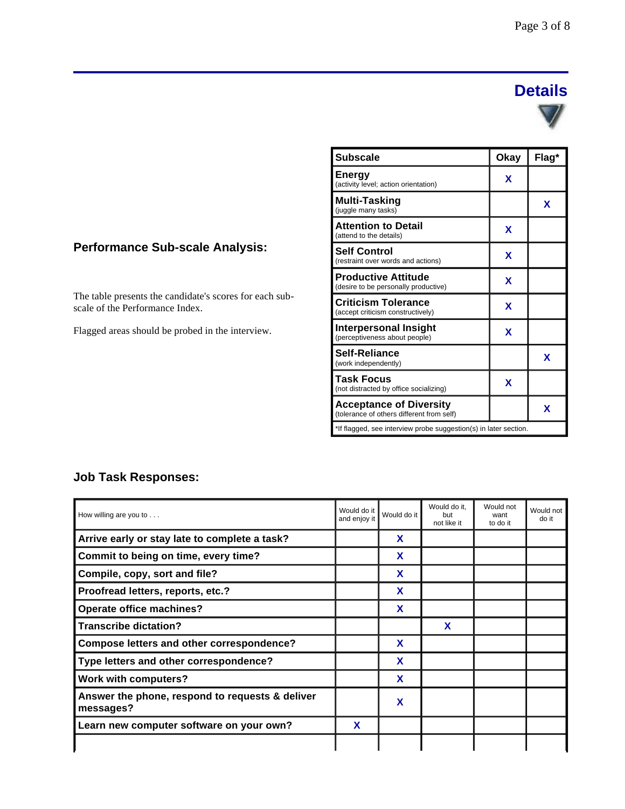## **Details**



| <b>Subscale</b>                                                             | Okay | Flag* |
|-----------------------------------------------------------------------------|------|-------|
| <b>Energy</b><br>(activity level; action orientation)                       | x    |       |
| Multi-Tasking<br>(juggle many tasks)                                        |      | X     |
| <b>Attention to Detail</b><br>(attend to the details)                       | x    |       |
| <b>Self Control</b><br>(restraint over words and actions)                   | x    |       |
| <b>Productive Attitude</b><br>(desire to be personally productive)          | x    |       |
| <b>Criticism Tolerance</b><br>(accept criticism constructively)             | x    |       |
| Interpersonal Insight<br>(perceptiveness about people)                      | X    |       |
| Self-Reliance<br>(work independently)                                       |      | X     |
| <b>Task Focus</b><br>(not distracted by office socializing)                 | X    |       |
| <b>Acceptance of Diversity</b><br>(tolerance of others different from self) |      | X     |
| *If flagged, see interview probe suggestion(s) in later section.            |      |       |

### **Performance Sub-scale Analysis:**

The table presents the candidate's scores for each subscale of the Performance Index.

Flagged areas should be probed in the interview.

### **Job Task Responses:**

| How willing are you to $\ldots$                              | Would do it<br>and enjoy it | Would do it | Would do it.<br>but<br>not like it | Would not<br>want<br>to do it | Would not<br>do it |
|--------------------------------------------------------------|-----------------------------|-------------|------------------------------------|-------------------------------|--------------------|
| Arrive early or stay late to complete a task?                |                             | X           |                                    |                               |                    |
| Commit to being on time, every time?                         |                             | X           |                                    |                               |                    |
| Compile, copy, sort and file?                                |                             | X           |                                    |                               |                    |
| Proofread letters, reports, etc.?                            |                             | X           |                                    |                               |                    |
| <b>Operate office machines?</b>                              |                             | X           |                                    |                               |                    |
| <b>Transcribe dictation?</b>                                 |                             |             | X                                  |                               |                    |
| Compose letters and other correspondence?                    |                             | X           |                                    |                               |                    |
| Type letters and other correspondence?                       |                             | X           |                                    |                               |                    |
| <b>Work with computers?</b>                                  |                             | X           |                                    |                               |                    |
| Answer the phone, respond to requests & deliver<br>messages? |                             | X           |                                    |                               |                    |
| Learn new computer software on your own?                     | X                           |             |                                    |                               |                    |
|                                                              |                             |             |                                    |                               |                    |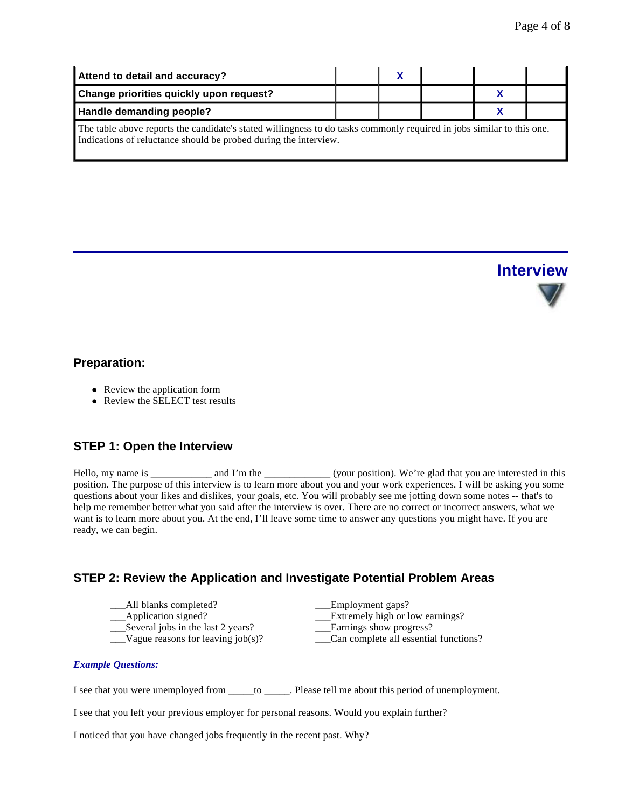| Attend to detail and accuracy?                                                                                                                                                            |  |  |  |  |  |
|-------------------------------------------------------------------------------------------------------------------------------------------------------------------------------------------|--|--|--|--|--|
| Change priorities quickly upon request?                                                                                                                                                   |  |  |  |  |  |
| Handle demanding people?                                                                                                                                                                  |  |  |  |  |  |
| The table above reports the candidate's stated willingness to do tasks commonly required in jobs similar to this one.<br>Indications of reluctance should be probed during the interview. |  |  |  |  |  |



### **Preparation:**

- Review the application form
- Review the SELECT test results

### **STEP 1: Open the Interview**

Hello, my name is \_\_\_\_\_\_\_\_\_\_\_\_ and I'm the \_\_\_\_\_\_\_\_\_\_\_\_\_\_\_ (your position). We're glad that you are interested in this position. The purpose of this interview is to learn more about you and your work experiences. I will be asking you some questions about your likes and dislikes, your goals, etc. You will probably see me jotting down some notes -- that's to help me remember better what you said after the interview is over. There are no correct or incorrect answers, what we want is to learn more about you. At the end, I'll leave some time to answer any questions you might have. If you are ready, we can begin.

### **STEP 2: Review the Application and Investigate Potential Problem Areas**

- \_\_\_All blanks completed? \_\_\_Employment gaps?
- 
- 

\_\_\_Application signed? \_\_\_Extremely high or low earnings?

- \_\_\_Several jobs in the last 2 years? \_\_\_Earnings show progress?
- \_\_\_Vague reasons for leaving job(s)? \_\_\_Can complete all essential functions?

### *Example Questions:*

I see that you were unemployed from \_\_\_\_\_to \_\_\_\_\_. Please tell me about this period of unemployment.

I see that you left your previous employer for personal reasons. Would you explain further?

I noticed that you have changed jobs frequently in the recent past. Why?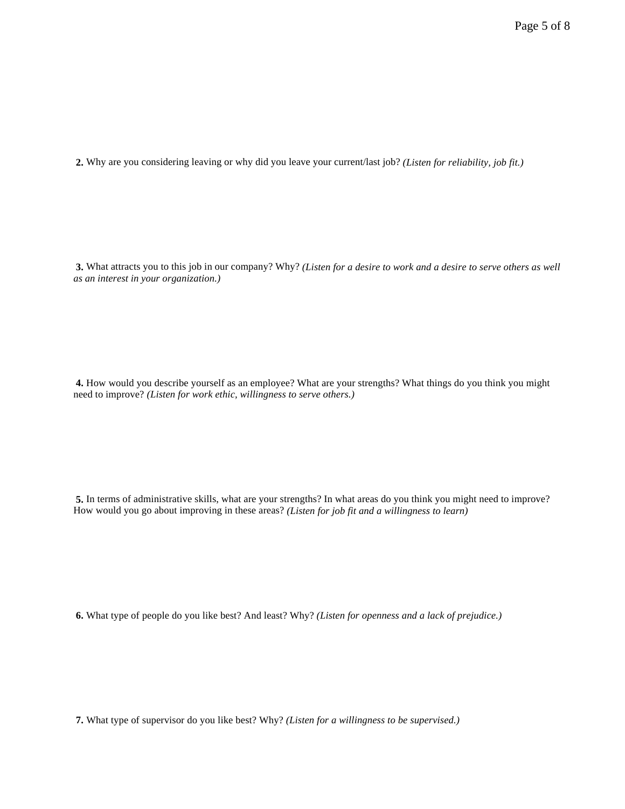**2.** Why are you considering leaving or why did you leave your current/last job? *(Listen for reliability, job fit.)*

**3.** What attracts you to this job in our company? Why? *(Listen for a desire to work and a desire to serve others as well as an interest in your organization.)*

**4.** How would you describe yourself as an employee? What are your strengths? What things do you think you might need to improve? *(Listen for work ethic, willingness to serve others.)*

**5.** In terms of administrative skills, what are your strengths? In what areas do you think you might need to improve? How would you go about improving in these areas? *(Listen for job fit and a willingness to learn)*

**6.** What type of people do you like best? And least? Why? *(Listen for openness and a lack of prejudice.)*

**7.** What type of supervisor do you like best? Why? *(Listen for a willingness to be supervised.)*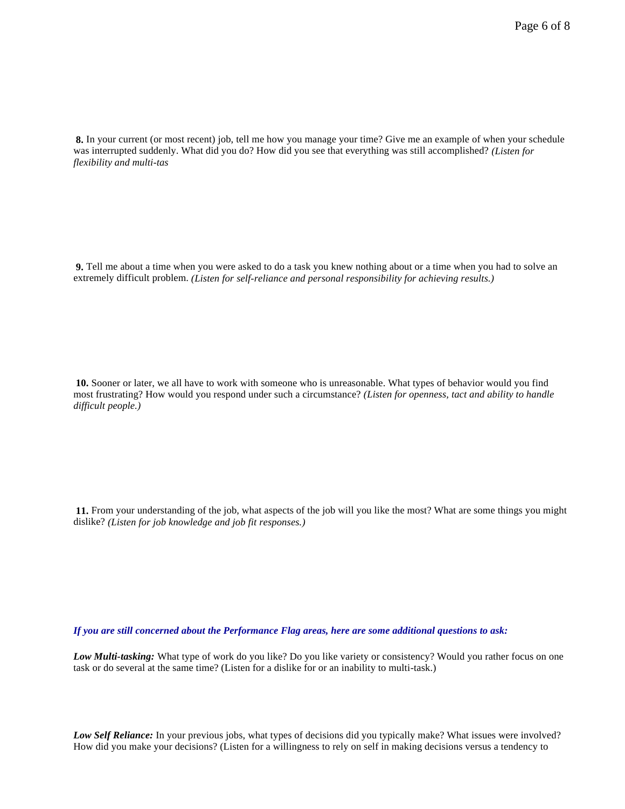**8.** In your current (or most recent) job, tell me how you manage your time? Give me an example of when your schedule was interrupted suddenly. What did you do? How did you see that everything was still accomplished? *(Listen for flexibility and multi-tas* 

**9.** Tell me about a time when you were asked to do a task you knew nothing about or a time when you had to solve an extremely difficult problem. *(Listen for self-reliance and personal responsibility for achieving results.)*

**10.** Sooner or later, we all have to work with someone who is unreasonable. What types of behavior would you find most frustrating? How would you respond under such a circumstance? *(Listen for openness, tact and ability to handle difficult people.)*

**11.** From your understanding of the job, what aspects of the job will you like the most? What are some things you might dislike? *(Listen for job knowledge and job fit responses.)*

*If you are still concerned about the Performance Flag areas, here are some additional questions to ask:*

*Low Multi-tasking:* What type of work do you like? Do you like variety or consistency? Would you rather focus on one task or do several at the same time? (Listen for a dislike for or an inability to multi-task.)

*Low Self Reliance:* In your previous jobs, what types of decisions did you typically make? What issues were involved? How did you make your decisions? (Listen for a willingness to rely on self in making decisions versus a tendency to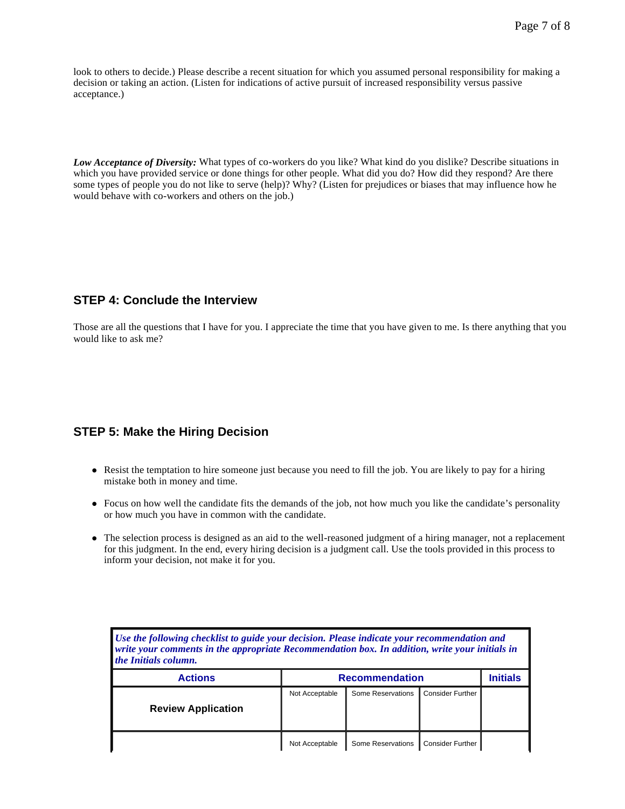look to others to decide.) Please describe a recent situation for which you assumed personal responsibility for making a decision or taking an action. (Listen for indications of active pursuit of increased responsibility versus passive acceptance.)

*Low Acceptance of Diversity:* What types of co-workers do you like? What kind do you dislike? Describe situations in which you have provided service or done things for other people. What did you do? How did they respond? Are there some types of people you do not like to serve (help)? Why? (Listen for prejudices or biases that may influence how he would behave with co-workers and others on the job.)

### **STEP 4: Conclude the Interview**

Those are all the questions that I have for you. I appreciate the time that you have given to me. Is there anything that you would like to ask me?

### **STEP 5: Make the Hiring Decision**

- Resist the temptation to hire someone just because you need to fill the job. You are likely to pay for a hiring mistake both in money and time.
- Focus on how well the candidate fits the demands of the job, not how much you like the candidate's personality or how much you have in common with the candidate.
- The selection process is designed as an aid to the well-reasoned judgment of a hiring manager, not a replacement for this judgment. In the end, every hiring decision is a judgment call. Use the tools provided in this process to inform your decision, not make it for you.

| Use the following checklist to guide your decision. Please indicate your recommendation and<br>write your comments in the appropriate Recommendation box. In addition, write your initials in<br><i>the Initials column.</i> |                       |                   |                         |  |  |  |
|------------------------------------------------------------------------------------------------------------------------------------------------------------------------------------------------------------------------------|-----------------------|-------------------|-------------------------|--|--|--|
| <b>Actions</b>                                                                                                                                                                                                               | <b>Recommendation</b> | Initials          |                         |  |  |  |
| <b>Review Application</b>                                                                                                                                                                                                    | Not Acceptable        | Some Reservations | <b>Consider Further</b> |  |  |  |
|                                                                                                                                                                                                                              | Not Acceptable        | Some Reservations | <b>Consider Further</b> |  |  |  |